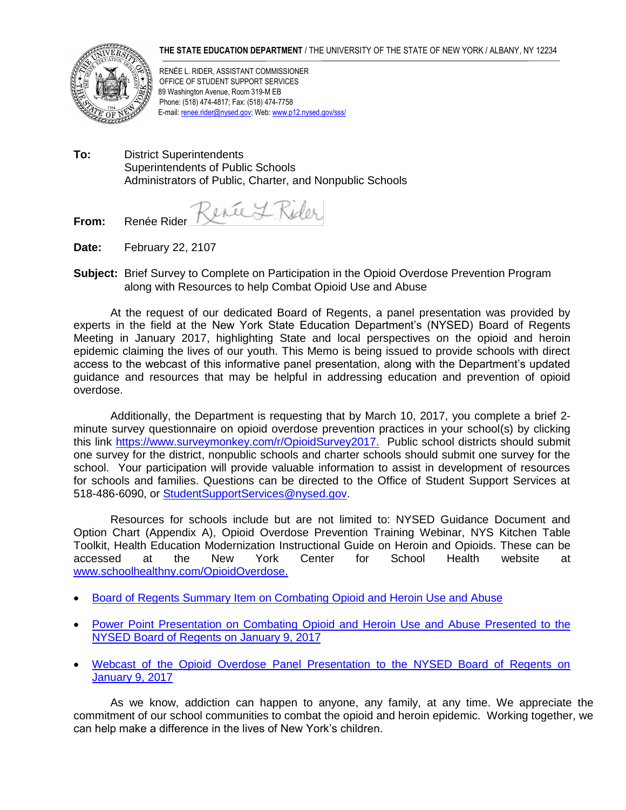## **THE STATE EDUCATION DEPARTMENT** / THE UNIVERSITY OF THE STATE OF NEW YORK / ALBANY, NY 12234



RENÉE L. RIDER, ASSISTANT COMMISSIONER OFFICE OF STUDENT SUPPORT SERVICES 89 Washington Avenue, Room 319-M EB Phone: (518) 474-4817; Fax: (518) 474-7758 E-mail[: renee.rider@nysed.gov;](mailto:renee.rider@nysed.gov) Web: www.p12.nysed.gov/sss/

**To:** District Superintendents Superintendents of Public Schools Administrators of Public, Charter, and Nonpublic Schools

Serie L. Rider

**From:** Renée Rider

- **Date:** February 22, 2107
- **Subject:** Brief Survey to Complete on Participation in the Opioid Overdose Prevention Program along with Resources to help Combat Opioid Use and Abuse

At the request of our dedicated Board of Regents, a panel presentation was provided by experts in the field at the New York State Education Department's (NYSED) Board of Regents Meeting in January 2017, highlighting State and local perspectives on the opioid and heroin epidemic claiming the lives of our youth. This Memo is being issued to provide schools with direct access to the webcast of this informative panel presentation, along with the Department's updated guidance and resources that may be helpful in addressing education and prevention of opioid overdose.

Additionally, the Department is requesting that by March 10, 2017, you complete a brief 2 minute survey questionnaire on opioid overdose prevention practices in your school(s) by clicking this link [https://www.surveymonkey.com/r/OpioidSurvey2017.](https://www.surveymonkey.com/r/OpioidSurvey2017) Public school districts should submit one survey for the district, nonpublic schools and charter schools should submit one survey for the school. Your participation will provide valuable information to assist in development of resources for schools and families. Questions can be directed to the Office of Student Support Services at 518-486-6090, or [StudentSupportServices@nysed.gov.](mailto:StudentSupportServices@nysed.gov)

 Resources for schools include but are not limited to: NYSED Guidance Document and Option Chart (Appendix A), Opioid Overdose Prevention Training Webinar, NYS Kitchen Table Toolkit, Health Education Modernization Instructional Guide on Heroin and Opioids. These can be accessed at the New York Center for School Health website at [www.schoolhealthny.com/OpioidOverdose.](http://www.schoolhealthny.com/OpioidOverdose)

- [Board of Regents Summary Item on Combating Opioid and Heroin Use and Abuse](http://www.regents.nysed.gov/common/regents/files/117brd1.pdf)
- Power Point Presentation on Combating Opioid and Heroin Use and Abuse Presented to the [NYSED Board of Regents on January 9, 2017](http://www.regents.nysed.gov/common/regents/files/P-12-PPC%20Combating%20Opioid%20and%20Heroin%20Use%20and%20Abuse.pdf.)
- [Webcast of the Opioid Overdose Panel Presentation to the NYSED Board of Regents on](http://www.regents.nysed.gov/video/board-regents-meeting-opioid-panel-january-9-2017)  [January 9, 2017](http://www.regents.nysed.gov/video/board-regents-meeting-opioid-panel-january-9-2017)

As we know, addiction can happen to anyone, any family, at any time. We appreciate the commitment of our school communities to combat the opioid and heroin epidemic. Working together, we can help make a difference in the lives of New York's children.